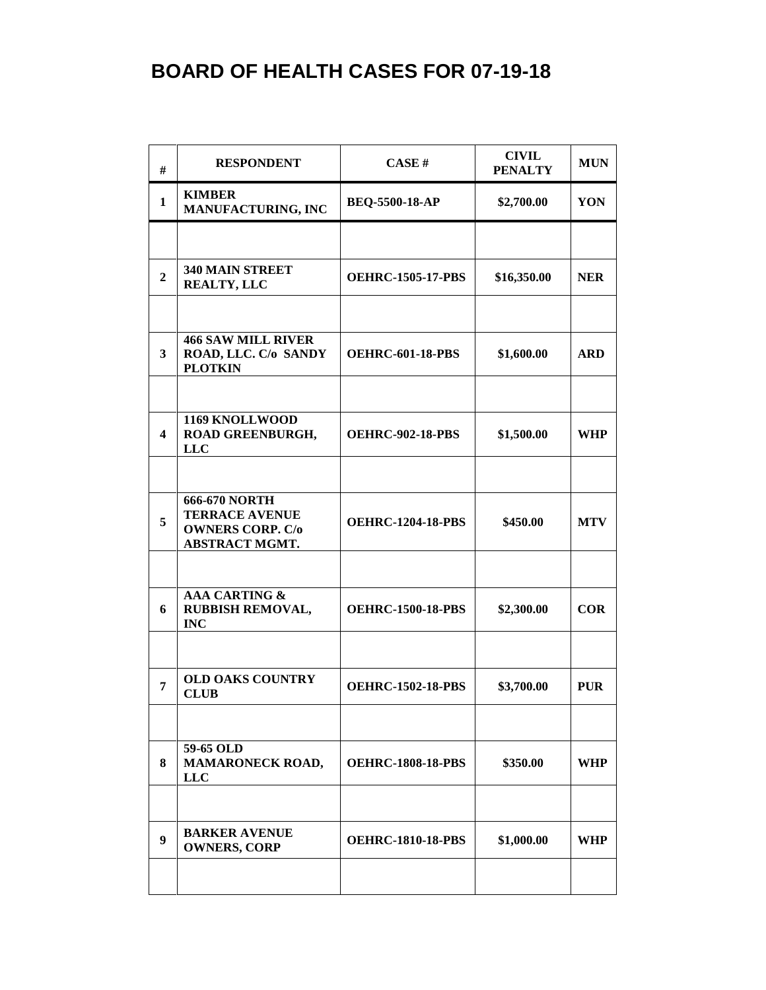| #                       | <b>RESPONDENT</b>                                                                                 | CASE#                    | <b>CIVIL</b><br><b>PENALTY</b> | <b>MUN</b> |
|-------------------------|---------------------------------------------------------------------------------------------------|--------------------------|--------------------------------|------------|
| $\mathbf{1}$            | <b>KIMBER</b><br><b>MANUFACTURING, INC</b>                                                        | <b>BEQ-5500-18-AP</b>    | \$2,700.00                     | YON        |
|                         |                                                                                                   |                          |                                |            |
| $\overline{2}$          | 340 MAIN STREET<br><b>REALTY, LLC</b>                                                             | <b>OEHRC-1505-17-PBS</b> | \$16,350.00                    | <b>NER</b> |
|                         |                                                                                                   |                          |                                |            |
| 3                       | <b>466 SAW MILL RIVER</b><br>ROAD, LLC. C/o SANDY<br><b>PLOTKIN</b>                               | <b>OEHRC-601-18-PBS</b>  | \$1,600.00                     | <b>ARD</b> |
| $\overline{\mathbf{4}}$ | 1169 KNOLLWOOD<br>ROAD GREENBURGH,<br><b>LLC</b>                                                  | <b>OEHRC-902-18-PBS</b>  | \$1,500.00                     | <b>WHP</b> |
|                         |                                                                                                   |                          |                                |            |
| 5                       | <b>666-670 NORTH</b><br><b>TERRACE AVENUE</b><br><b>OWNERS CORP. C/o</b><br><b>ABSTRACT MGMT.</b> | <b>OEHRC-1204-18-PBS</b> | \$450.00                       | <b>MTV</b> |
|                         |                                                                                                   |                          |                                |            |
| 6                       | <b>AAA CARTING &amp;</b><br>RUBBISH REMOVAL,<br><b>INC</b>                                        | <b>OEHRC-1500-18-PBS</b> | \$2,300.00                     | <b>COR</b> |
|                         |                                                                                                   |                          |                                |            |
| 7                       | <b>OLD OAKS COUNTRY</b><br><b>CLUB</b>                                                            | <b>OEHRC-1502-18-PBS</b> | \$3,700.00                     | <b>PUR</b> |
|                         |                                                                                                   |                          |                                |            |
| 8                       | 59-65 OLD<br><b>MAMARONECK ROAD,</b><br><b>LLC</b>                                                | <b>OEHRC-1808-18-PBS</b> | \$350.00                       | WHP        |
|                         |                                                                                                   |                          |                                |            |
| 9                       | <b>BARKER AVENUE</b><br><b>OWNERS, CORP</b>                                                       | <b>OEHRC-1810-18-PBS</b> | \$1,000.00                     | WHP        |
|                         |                                                                                                   |                          |                                |            |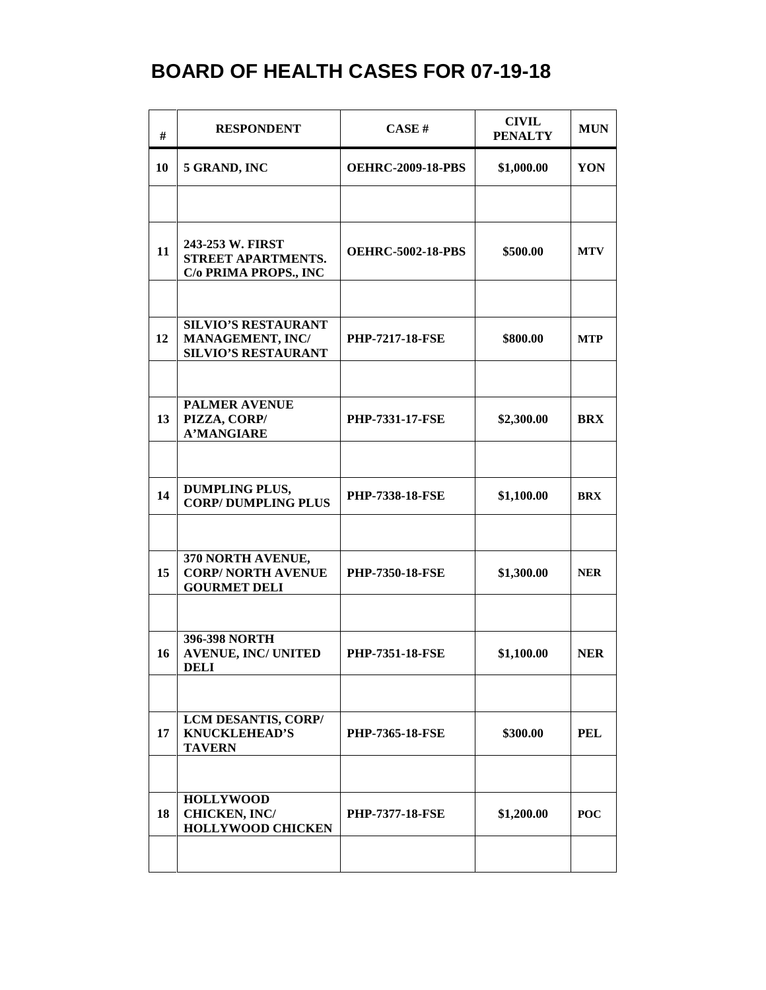| #  | <b>RESPONDENT</b>                                                            | <b>CASE#</b>             | <b>CIVIL</b><br><b>PENALTY</b> | <b>MUN</b> |
|----|------------------------------------------------------------------------------|--------------------------|--------------------------------|------------|
| 10 | 5 GRAND, INC                                                                 | <b>OEHRC-2009-18-PBS</b> | \$1,000.00                     | YON        |
|    |                                                                              |                          |                                |            |
| 11 | 243-253 W. FIRST<br>STREET APARTMENTS.<br>C/o PRIMA PROPS., INC              | <b>OEHRC-5002-18-PBS</b> | \$500.00                       | <b>MTV</b> |
|    |                                                                              |                          |                                |            |
| 12 | <b>SILVIO'S RESTAURANT</b><br>MANAGEMENT, INC/<br><b>SILVIO'S RESTAURANT</b> | <b>PHP-7217-18-FSE</b>   | \$800.00                       | <b>MTP</b> |
|    |                                                                              |                          |                                |            |
| 13 | <b>PALMER AVENUE</b><br>PIZZA, CORP/<br><b>A'MANGIARE</b>                    | <b>PHP-7331-17-FSE</b>   | \$2,300.00                     | <b>BRX</b> |
|    |                                                                              |                          |                                |            |
| 14 | <b>DUMPLING PLUS,</b><br><b>CORP/DUMPLING PLUS</b>                           | <b>PHP-7338-18-FSE</b>   | \$1,100.00                     | <b>BRX</b> |
|    |                                                                              |                          |                                |            |
| 15 | 370 NORTH AVENUE,<br><b>CORP/ NORTH AVENUE</b><br><b>GOURMET DELI</b>        | <b>PHP-7350-18-FSE</b>   | \$1,300.00                     | <b>NER</b> |
|    |                                                                              |                          |                                |            |
| 16 | 396-398 NORTH<br><b>AVENUE, INC/ UNITED</b><br>DELI                          | <b>PHP-7351-18-FSE</b>   | \$1,100.00                     | <b>NER</b> |
|    |                                                                              |                          |                                |            |
| 17 | LCM DESANTIS, CORP/<br><b>KNUCKLEHEAD'S</b><br><b>TAVERN</b>                 | <b>PHP-7365-18-FSE</b>   | \$300.00                       | <b>PEL</b> |
|    |                                                                              |                          |                                |            |
| 18 | <b>HOLLYWOOD</b><br><b>CHICKEN, INC/</b><br><b>HOLLYWOOD CHICKEN</b>         | <b>PHP-7377-18-FSE</b>   | \$1,200.00                     | <b>POC</b> |
|    |                                                                              |                          |                                |            |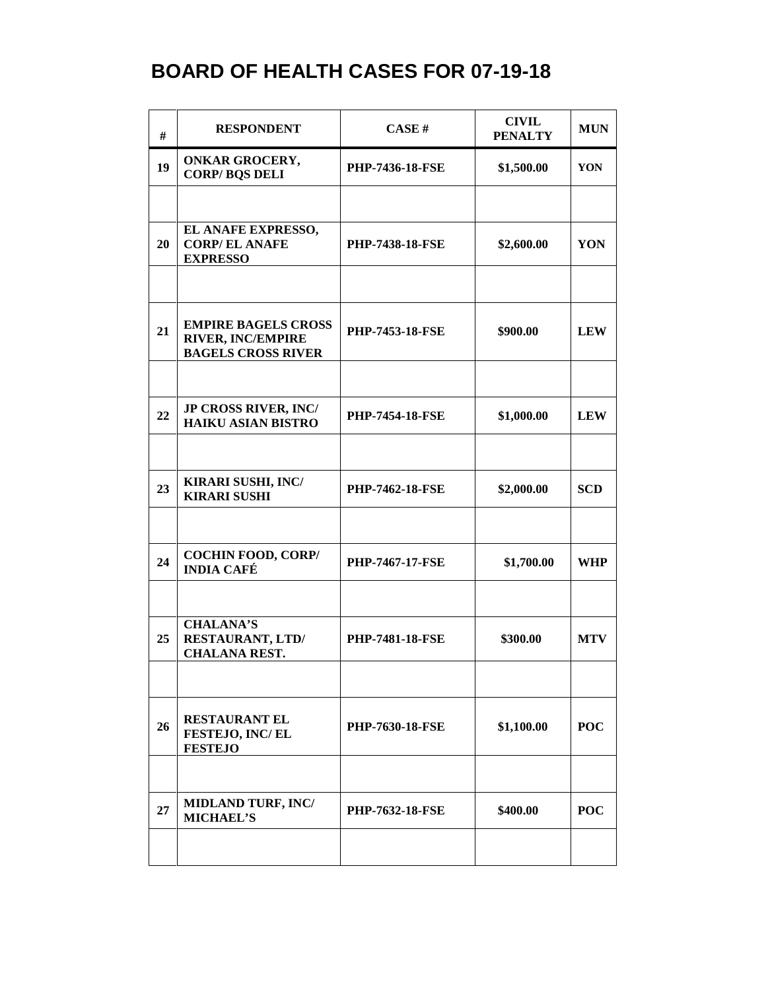| #  | <b>RESPONDENT</b>                                                                   | CASE#                  | <b>CIVIL</b><br><b>PENALTY</b> | <b>MUN</b> |
|----|-------------------------------------------------------------------------------------|------------------------|--------------------------------|------------|
| 19 | <b>ONKAR GROCERY,</b><br><b>CORP/BQS DELI</b>                                       | <b>PHP-7436-18-FSE</b> | \$1,500.00                     | YON        |
|    |                                                                                     |                        |                                |            |
| 20 | EL ANAFE EXPRESSO,<br><b>CORP/EL ANAFE</b><br><b>EXPRESSO</b>                       | <b>PHP-7438-18-FSE</b> | \$2,600.00                     | YON        |
|    |                                                                                     |                        |                                |            |
| 21 | <b>EMPIRE BAGELS CROSS</b><br><b>RIVER, INC/EMPIRE</b><br><b>BAGELS CROSS RIVER</b> | <b>PHP-7453-18-FSE</b> | \$900.00                       | <b>LEW</b> |
|    |                                                                                     |                        |                                |            |
| 22 | <b>JP CROSS RIVER, INC/</b><br><b>HAIKU ASIAN BISTRO</b>                            | <b>PHP-7454-18-FSE</b> | \$1,000.00                     | <b>LEW</b> |
|    |                                                                                     |                        |                                |            |
| 23 | <b>KIRARI SUSHI, INC/</b><br><b>KIRARI SUSHI</b>                                    | <b>PHP-7462-18-FSE</b> | \$2,000.00                     | <b>SCD</b> |
|    |                                                                                     |                        |                                |            |
| 24 | <b>COCHIN FOOD, CORP/</b><br><b>INDIA CAFÉ</b>                                      | <b>PHP-7467-17-FSE</b> | \$1,700.00                     | <b>WHP</b> |
|    |                                                                                     |                        |                                |            |
| 25 | <b>CHALANA'S</b><br><b>RESTAURANT, LTD/</b><br><b>CHALANA REST.</b>                 | <b>PHP-7481-18-FSE</b> | \$300.00                       | <b>MTV</b> |
|    |                                                                                     |                        |                                |            |
| 26 | <b>RESTAURANT EL</b><br>FESTEJO, INC/EL<br><b>FESTEJO</b>                           | <b>PHP-7630-18-FSE</b> | \$1,100.00                     | <b>POC</b> |
|    |                                                                                     |                        |                                |            |
| 27 | MIDLAND TURF, INC/<br><b>MICHAEL'S</b>                                              | <b>PHP-7632-18-FSE</b> | \$400.00                       | <b>POC</b> |
|    |                                                                                     |                        |                                |            |